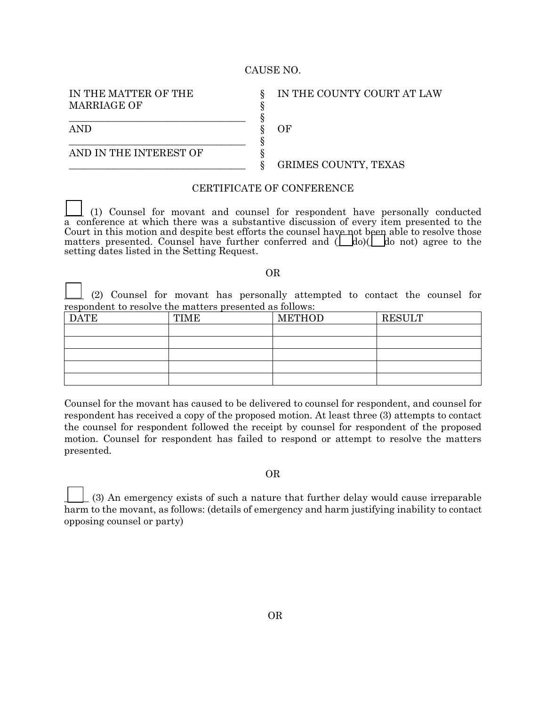## CAUSE NO.

§

IN THE MATTER OF THE MARRIAGE OF

IN THE COUNTY COURT AT LAW

§ AND § OF

AND IN THE INTEREST OF  $\S$ 

\_\_\_\_\_\_\_\_\_\_\_\_\_\_\_\_\_\_\_\_\_\_\_\_\_\_\_\_\_\_\_\_\_\_\_\_ §

\_\_\_\_\_\_\_\_\_\_\_\_\_\_\_\_\_\_\_\_\_\_\_\_\_\_\_\_\_\_\_\_\_\_\_\_ §

\_\_\_\_\_\_\_\_\_\_\_\_\_\_\_\_\_\_\_\_\_\_\_\_\_\_\_\_\_\_\_\_\_\_\_\_ § GRIMES COUNTY, TEXAS

## CERTIFICATE OF CONFERENCE

\_\_\_\_ (1) Counsel for movant and counsel for respondent have personally conducted a conference at which there was a substantive discussion of every item presented to the Court in this motion and despite best efforts the counsel have not been able to resolve those matters presented. Counsel have further conferred and  $(\underline{\hspace{0.3cm}}\underline{\hspace{0.3cm}}\phantom{0})$  do not) agree to the setting dates listed in the Setting Request.

## OR

\_\_\_\_ (2) Counsel for movant has personally attempted to contact the counsel for respondent to resolve the matters presented as follows:

| <b>DATE</b> | <b>TIME</b> | <b>METHOD</b> | <b>RESULT</b> |
|-------------|-------------|---------------|---------------|
|             |             |               |               |
|             |             |               |               |
|             |             |               |               |
|             |             |               |               |
|             |             |               |               |

Counsel for the movant has caused to be delivered to counsel for respondent, and counsel for respondent has received a copy of the proposed motion. At least three (3) attempts to contact the counsel for respondent followed the receipt by counsel for respondent of the proposed motion. Counsel for respondent has failed to respond or attempt to resolve the matters presented.

OR

\_\_\_\_\_ (3) An emergency exists of such a nature that further delay would cause irreparable harm to the movant, as follows: (details of emergency and harm justifying inability to contact opposing counsel or party)